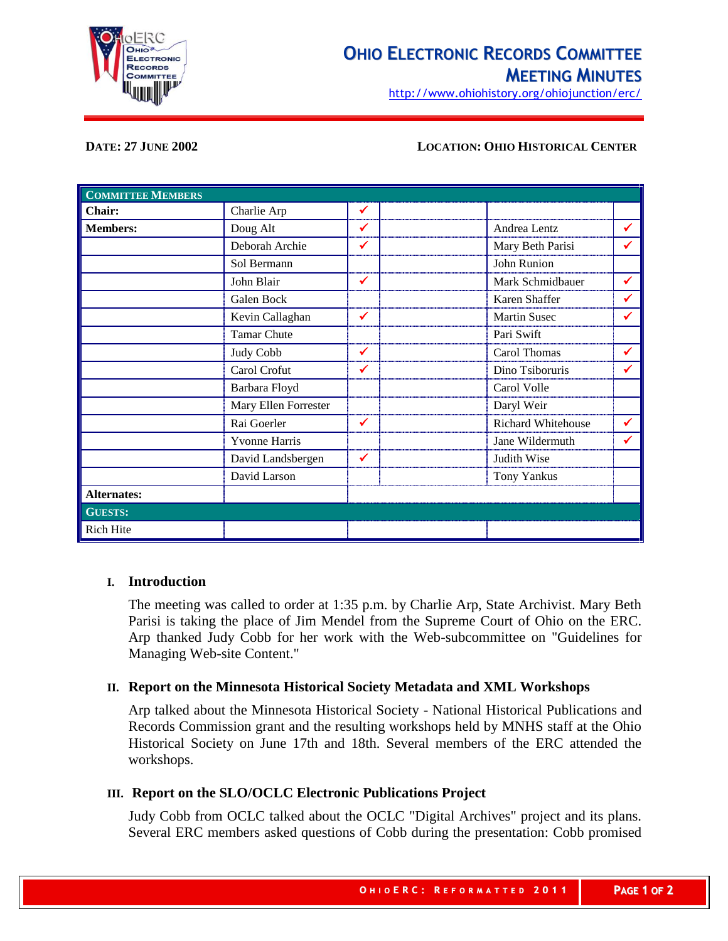

# **OHIO ELECTRONIC RECORDS COMMITTEE MEETING MINUTES**

http://www.ohiohistory.org/ohiojunction/erc/

#### **DATE: 27 JUNE 2002 LOCATION: OHIO HISTORICAL CENTER**

| <b>COMMITTEE MEMBERS</b> |                      |              |                     |   |
|--------------------------|----------------------|--------------|---------------------|---|
| Chair:                   | Charlie Arp          | ✓            |                     |   |
| <b>Members:</b>          | Doug Alt             | ✔            | Andrea Lentz        | ✔ |
|                          | Deborah Archie       | $\checkmark$ | Mary Beth Parisi    | ✔ |
|                          | Sol Bermann          |              | John Runion         |   |
|                          | John Blair           | ✔            | Mark Schmidbauer    | ✔ |
|                          | Galen Bock           |              | Karen Shaffer       | ✔ |
|                          | Kevin Callaghan      | $\checkmark$ | <b>Martin Susec</b> | ✔ |
|                          | <b>Tamar Chute</b>   |              | Pari Swift          |   |
|                          | Judy Cobb            | ✔            | Carol Thomas        | ✔ |
|                          | Carol Crofut         | ✓            | Dino Tsiboruris     | ✔ |
|                          | Barbara Floyd        |              | Carol Volle         |   |
|                          | Mary Ellen Forrester |              | Daryl Weir          |   |
|                          | Rai Goerler          | ✔            | Richard Whitehouse  | ✔ |
|                          | <b>Yvonne Harris</b> |              | Jane Wildermuth     | ✔ |
|                          | David Landsbergen    | ✔            | Judith Wise         |   |
|                          | David Larson         |              | <b>Tony Yankus</b>  |   |
| <b>Alternates:</b>       |                      |              |                     |   |
| <b>GUESTS:</b>           |                      |              |                     |   |
| <b>Rich Hite</b>         |                      |              |                     |   |

## **I. Introduction**

The meeting was called to order at 1:35 p.m. by Charlie Arp, State Archivist. Mary Beth Parisi is taking the place of Jim Mendel from the Supreme Court of Ohio on the ERC. Arp thanked Judy Cobb for her work with the Web-subcommittee on "Guidelines for Managing Web-site Content."

## **II. Report on the Minnesota Historical Society Metadata and XML Workshops**

Arp talked about the Minnesota Historical Society - National Historical Publications and Records Commission grant and the resulting workshops held by MNHS staff at the Ohio Historical Society on June 17th and 18th. Several members of the ERC attended the workshops.

#### **III. Report on the SLO/OCLC Electronic Publications Project**

Judy Cobb from OCLC talked about the OCLC "Digital Archives" project and its plans. Several ERC members asked questions of Cobb during the presentation: Cobb promised